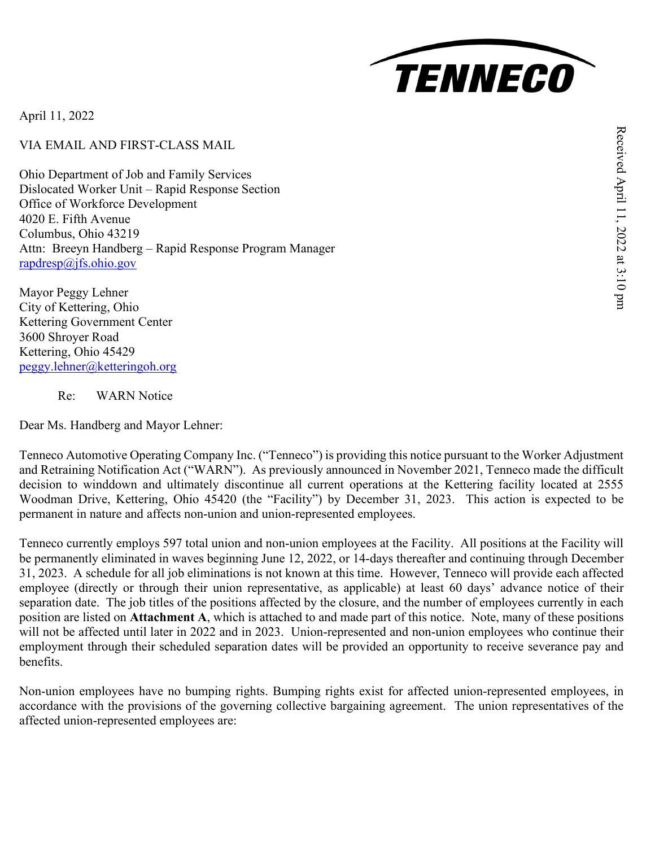

April 11, 2022

VIA EMAIL AND FIRST-CLASS MAIL

Ohio Department of Job and Family Services Dislocated Worker Unit – Rapid Response Section Office of Workforce Development 4020 E. Fifth Avenue Columbus, Ohio 43219 Attn: Breeyn Handberg – Rapid Response Program Manager [rapdresp@jfs.ohio.gov](mailto:rapdresp@jfs.ohio.gov)

Mayor Peggy Lehner City of Kettering, Ohio Kettering Government Center 3600 Shroyer Road Kettering, Ohio 45429 [peggy.lehner@ketteringoh.org](mailto:peggy.lehner@ketteringoh.org)

Re: WARN Notice

Dear Ms. Handberg and Mayor Lehner:

Tenneco Automotive Operating Company Inc. ("Tenneco") is providing this notice pursuant to the Worker Adjustment and Retraining Notification Act ("WARN"). As previously announced in November 2021, Tenneco made the difficult decision to winddown and ultimately discontinue all current operations at the Kettering facility located at 2555 Woodman Drive, Kettering, Ohio 45420 (the "Facility") by December 31, 2023. This action is expected to be permanent in nature and affects non-union and union-represented employees.

Tenneco currently employs 597 total union and non-union employees at the Facility. All positions at the Facility will be permanently eliminated in waves beginning June 12, 2022, or 14-days thereafter and continuing through December 31, 2023. A schedule for all job eliminations is not known at this time. However, Tenneco will provide each affected employee (directly or through their union representative, as applicable) at least 60 days' advance notice of their separation date. The job titles of the positions affected by the closure, and the number of employees currently in each position are listed on **Attachment A**, which is attached to and made part of this notice. Note, many of these positions will not be affected until later in 2022 and in 2023. Union-represented and non-union employees who continue their employment through their scheduled separation dates will be provided an opportunity to receive severance pay and benefits.

Non-union employees have no bumping rights. Bumping rights exist for affected union-represented employees, in accordance with the provisions of the governing collective bargaining agreement. The union representatives of the affected union-represented employees are: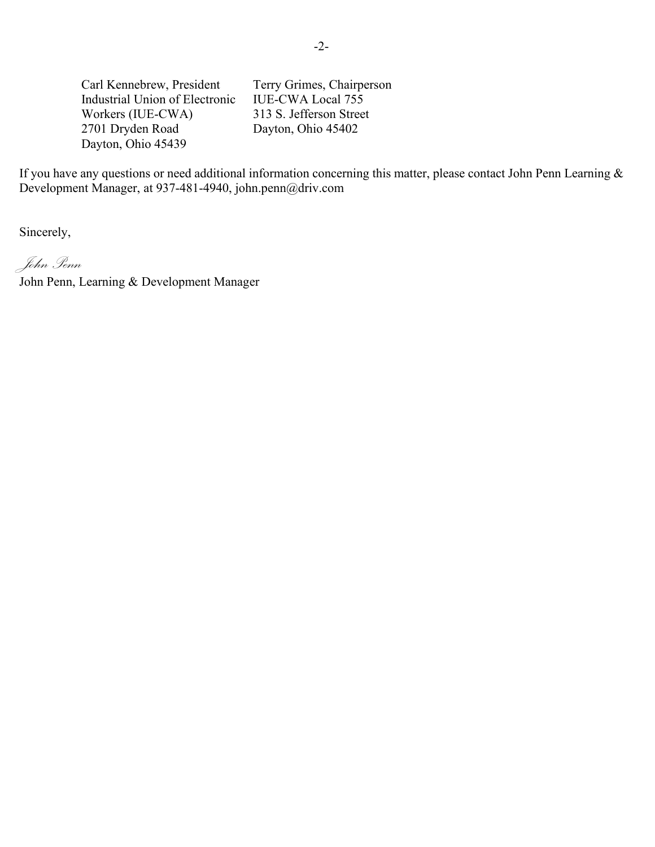Carl Kennebrew, President Industrial Union of Electronic Workers (IUE-CWA) 2701 Dryden Road Dayton, Ohio 45439

Terry Grimes, Chairperson IUE-CWA Local 755 313 S. Jefferson Street Dayton, Ohio 45402

If you have any questions or need additional information concerning this matter, please contact John Penn Learning & Development Manager, at 937-481-4940, john.penn@driv.com

Sincerely,

*John Penn*

John Penn, Learning & Development Manager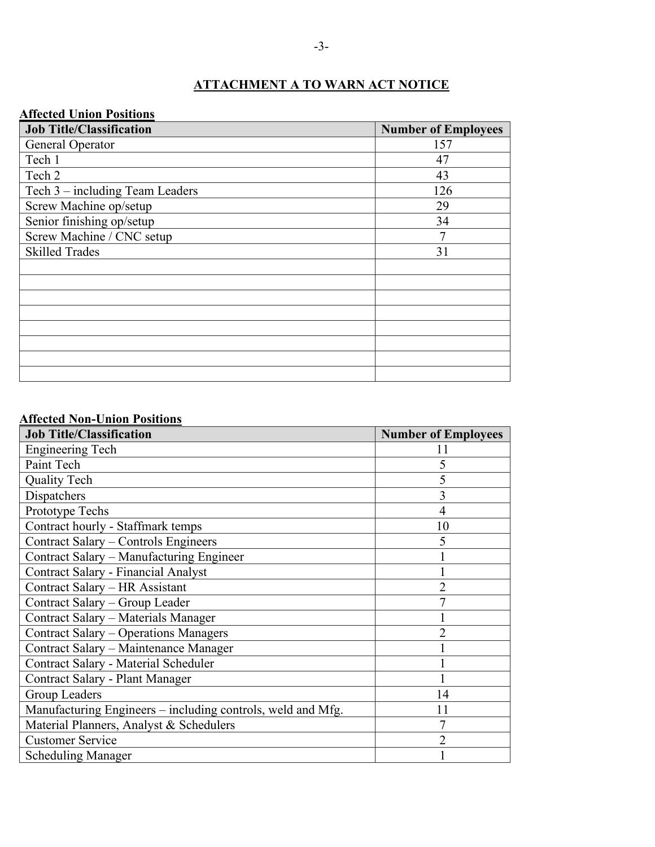## **ATTACHMENT A TO WARN ACT NOTICE**

## **Affected Union Positions**

| <b>Job Title/Classification</b> | <b>Number of Employees</b> |
|---------------------------------|----------------------------|
| General Operator                | 157                        |
| Tech 1                          | 47                         |
| Tech 2                          | 43                         |
| Tech 3 – including Team Leaders | 126                        |
| Screw Machine op/setup          | 29                         |
| Senior finishing op/setup       | 34                         |
| Screw Machine / CNC setup       | 7                          |
| <b>Skilled Trades</b>           | 31                         |
|                                 |                            |
|                                 |                            |
|                                 |                            |
|                                 |                            |
|                                 |                            |
|                                 |                            |
|                                 |                            |
|                                 |                            |

## **Affected Non-Union Positions**

| <b>Job Title/Classification</b>                             | <b>Number of Employees</b> |
|-------------------------------------------------------------|----------------------------|
| <b>Engineering Tech</b>                                     | 11                         |
| Paint Tech                                                  | 5                          |
| <b>Quality Tech</b>                                         | 5                          |
| Dispatchers                                                 | 3                          |
| Prototype Techs                                             | $\overline{4}$             |
| Contract hourly - Staffmark temps                           | 10                         |
| Contract Salary - Controls Engineers                        | 5                          |
| Contract Salary - Manufacturing Engineer                    |                            |
| Contract Salary - Financial Analyst                         |                            |
| Contract Salary - HR Assistant                              | $\overline{2}$             |
| Contract Salary - Group Leader                              |                            |
| Contract Salary - Materials Manager                         |                            |
| Contract Salary - Operations Managers                       | $\overline{2}$             |
| Contract Salary – Maintenance Manager                       |                            |
| Contract Salary - Material Scheduler                        |                            |
| Contract Salary - Plant Manager                             |                            |
| Group Leaders                                               | 14                         |
| Manufacturing Engineers – including controls, weld and Mfg. | 11                         |
| Material Planners, Analyst & Schedulers                     | 7                          |
| <b>Customer Service</b>                                     | $\overline{2}$             |
| <b>Scheduling Manager</b>                                   |                            |